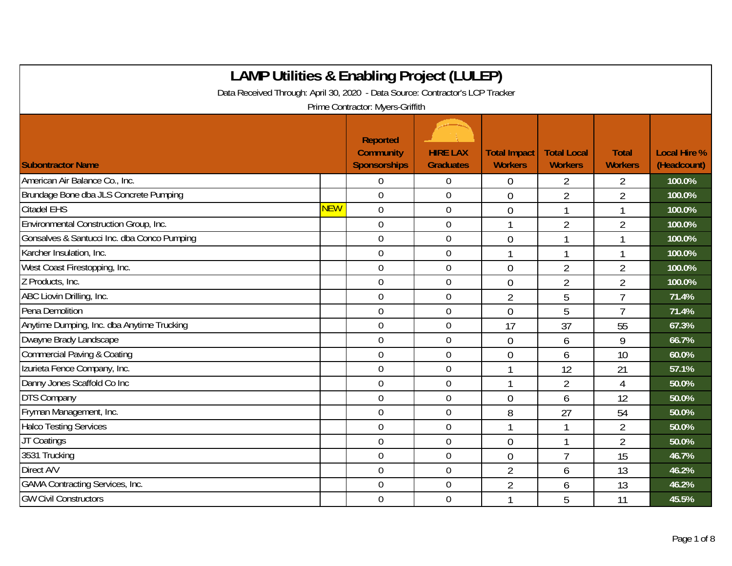| <b>LAMP Utilities &amp; Enabling Project (LULEP)</b>                          |            |                                                     |                                     |                                       |                                      |                                |                                    |  |  |  |
|-------------------------------------------------------------------------------|------------|-----------------------------------------------------|-------------------------------------|---------------------------------------|--------------------------------------|--------------------------------|------------------------------------|--|--|--|
| Data Received Through: April 30, 2020 - Data Source: Contractor's LCP Tracker |            |                                                     |                                     |                                       |                                      |                                |                                    |  |  |  |
|                                                                               |            | Prime Contractor: Myers-Griffith                    |                                     |                                       |                                      |                                |                                    |  |  |  |
| <b>Subontractor Name</b>                                                      |            | Reported<br><b>Community</b><br><b>Sponsorships</b> | <b>HIRE LAX</b><br><b>Graduates</b> | <b>Total Impact</b><br><b>Workers</b> | <b>Total Local</b><br><b>Workers</b> | <b>Total</b><br><b>Workers</b> | <b>Local Hire %</b><br>(Headcount) |  |  |  |
| American Air Balance Co., Inc.                                                |            | $\theta$                                            | $\mathbf 0$                         | 0                                     | 2                                    | 2                              | 100.0%                             |  |  |  |
| Brundage Bone dba JLS Concrete Pumping                                        |            | $\overline{0}$                                      | $\mathbf 0$                         | $\overline{0}$                        | $\overline{2}$                       | $\overline{2}$                 | 100.0%                             |  |  |  |
| <b>Citadel EHS</b>                                                            | <b>NEW</b> | $\overline{0}$                                      | $\mathbf 0$                         | $\overline{0}$                        | 1                                    | $\mathbf{1}$                   | 100.0%                             |  |  |  |
| Environmental Construction Group, Inc.                                        |            | $\mathbf 0$                                         | $\boldsymbol{0}$                    | 1                                     | $\overline{2}$                       | $\overline{2}$                 | 100.0%                             |  |  |  |
| Gonsalves & Santucci Inc. dba Conco Pumping                                   |            | $\mathbf 0$                                         | $\mathbf 0$                         | $\overline{0}$                        |                                      | $\mathbf{1}$                   | 100.0%                             |  |  |  |
| Karcher Insulation, Inc.                                                      |            | $\mathbf 0$                                         | $\boldsymbol{0}$                    |                                       |                                      | 1                              | 100.0%                             |  |  |  |
| West Coast Firestopping, Inc.                                                 |            | $\mathbf 0$                                         | $\mathbf 0$                         | $\overline{0}$                        | $\overline{2}$                       | $\overline{2}$                 | 100.0%                             |  |  |  |
| Z Products, Inc.                                                              |            | $\overline{0}$                                      | $\overline{0}$                      | $\overline{0}$                        | $\overline{2}$                       | $\overline{2}$                 | 100.0%                             |  |  |  |
| ABC Liovin Drilling, Inc.                                                     |            | $\overline{0}$                                      | $\mathbf 0$                         | $\overline{2}$                        | 5                                    | $\overline{1}$                 | 71.4%                              |  |  |  |
| Pena Demolition                                                               |            | $\overline{0}$                                      | $\mathbf 0$                         | $\overline{0}$                        | 5                                    | $\overline{1}$                 | 71.4%                              |  |  |  |
| Anytime Dumping, Inc. dba Anytime Trucking                                    |            | $\mathbf 0$                                         | $\boldsymbol{0}$                    | 17                                    | 37                                   | 55                             | 67.3%                              |  |  |  |
| Dwayne Brady Landscape                                                        |            | $\mathbf 0$                                         | $\mathbf 0$                         | $\overline{0}$                        | 6                                    | 9                              | 66.7%                              |  |  |  |
| <b>Commercial Paving &amp; Coating</b>                                        |            | $\overline{0}$                                      | $\mathbf 0$                         | $\overline{0}$                        | 6                                    | 10                             | 60.0%                              |  |  |  |
| Izurieta Fence Company, Inc.                                                  |            | $\overline{0}$                                      | $\mathbf 0$                         |                                       | 12                                   | 21                             | 57.1%                              |  |  |  |
| Danny Jones Scaffold Co Inc                                                   |            | $\mathbf 0$                                         | $\mathbf 0$                         |                                       | $\overline{2}$                       | 4                              | 50.0%                              |  |  |  |
| DTS Company                                                                   |            | $\mathbf 0$                                         | $\mathbf 0$                         | $\overline{0}$                        | 6                                    | 12                             | 50.0%                              |  |  |  |
| Fryman Management, Inc.                                                       |            | $\mathbf 0$                                         | $\mathbf 0$                         | 8                                     | 27                                   | 54                             | 50.0%                              |  |  |  |
| <b>Halco Testing Services</b>                                                 |            | $\mathbf 0$                                         | $\boldsymbol{0}$                    | $\mathbf{1}$                          |                                      | $\overline{2}$                 | 50.0%                              |  |  |  |
| JT Coatings                                                                   |            | $\mathbf 0$                                         | $\boldsymbol{0}$                    | $\overline{0}$                        |                                      | $\overline{2}$                 | 50.0%                              |  |  |  |
| 3531 Trucking                                                                 |            | $\overline{0}$                                      | $\mathbf 0$                         | $\overline{0}$                        | $\overline{7}$                       | 15                             | 46.7%                              |  |  |  |
| Direct A/V                                                                    |            | $\overline{0}$                                      | $\mathbf 0$                         | $\overline{2}$                        | 6                                    | 13                             | 46.2%                              |  |  |  |
| <b>GAMA Contracting Services, Inc.</b>                                        |            | $\overline{0}$                                      | $\mathbf 0$                         | $\overline{2}$                        | 6                                    | 13                             | 46.2%                              |  |  |  |
| <b>GW Civil Constructors</b>                                                  |            | $\overline{0}$                                      | $\mathbf 0$                         | 1                                     | 5                                    | 11                             | 45.5%                              |  |  |  |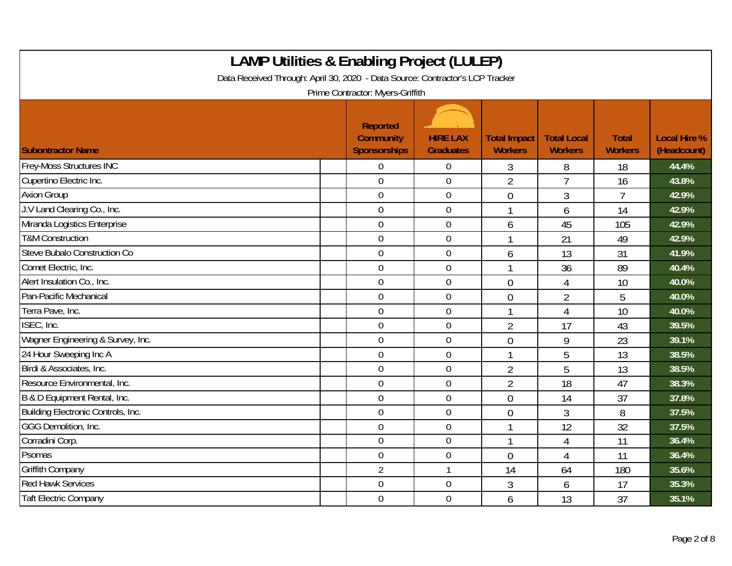| <b>LAMP Utilities &amp; Enabling Project (LULEP)</b><br>Data Received Through: April 30, 2020 - Data Source: Contractor's LCP Tracker<br>Prime Contractor: Myers-Griffith |                                                     |                                     |                                       |                                      |                                |                                    |  |  |  |
|---------------------------------------------------------------------------------------------------------------------------------------------------------------------------|-----------------------------------------------------|-------------------------------------|---------------------------------------|--------------------------------------|--------------------------------|------------------------------------|--|--|--|
| <b>Subontractor Name</b>                                                                                                                                                  | Reported<br><b>Community</b><br><b>Sponsorships</b> | <b>HIRE LAX</b><br><b>Graduates</b> | <b>Total Impact</b><br><b>Workers</b> | <b>Total Local</b><br><b>Workers</b> | <b>Total</b><br><b>Workers</b> | <b>Local Hire %</b><br>(Headcount) |  |  |  |
| <b>Frey-Moss Structures INC</b>                                                                                                                                           | $\overline{0}$                                      | $\overline{0}$                      | 3                                     | 8                                    | 18                             | 44.4%                              |  |  |  |
| Cupertino Electric Inc.                                                                                                                                                   | $\mathbf 0$                                         | $\mathbf 0$                         | $\overline{2}$                        | $\overline{7}$                       | 16                             | 43.8%                              |  |  |  |
| <b>Axion Group</b>                                                                                                                                                        | $\mathbf 0$                                         | $\boldsymbol{0}$                    | $\overline{0}$                        | 3                                    | $\overline{7}$                 | 42.9%                              |  |  |  |
| J.V Land Clearing Co., Inc.                                                                                                                                               | $\mathbf 0$                                         | $\mathbf 0$                         | 1                                     | 6                                    | 14                             | 42.9%                              |  |  |  |
| Miranda Logistics Enterprise                                                                                                                                              | $\overline{0}$                                      | $\mathbf 0$                         | 6                                     | 45                                   | 105                            | 42.9%                              |  |  |  |
| <b>T&amp;M Construction</b>                                                                                                                                               | $\overline{0}$                                      | $\boldsymbol{0}$                    |                                       | 21                                   | 49                             | 42.9%                              |  |  |  |
| Steve Bubalo Construction Co                                                                                                                                              | $\mathbf 0$                                         | $\mathbf 0$                         | 6                                     | 13                                   | 31                             | 41.9%                              |  |  |  |
| Comet Electric, Inc.                                                                                                                                                      | $\mathbf 0$                                         | $\boldsymbol{0}$                    |                                       | 36                                   | 89                             | 40.4%                              |  |  |  |
| Alert Insulation Co., Inc.                                                                                                                                                | $\mathbf 0$                                         | $\pmb{0}$                           | $\overline{0}$                        | 4                                    | 10                             | 40.0%                              |  |  |  |
| Pan-Pacific Mechanical                                                                                                                                                    | $\overline{0}$                                      | $\mathbf 0$                         | $\overline{0}$                        | $\overline{2}$                       | 5                              | 40.0%                              |  |  |  |
| Terra Pave, Inc.                                                                                                                                                          | $\overline{0}$                                      | $\boldsymbol{0}$                    |                                       | $\overline{4}$                       | 10                             | 40.0%                              |  |  |  |
| ISEC, Inc.                                                                                                                                                                | $\mathbf 0$                                         | $\boldsymbol{0}$                    | $\overline{2}$                        | 17                                   | 43                             | 39.5%                              |  |  |  |
| Wagner Engineering & Survey, Inc.                                                                                                                                         | $\overline{0}$                                      | $\mathbf 0$                         | $\overline{0}$                        | 9                                    | 23                             | 39.1%                              |  |  |  |
| 24 Hour Sweeping Inc A                                                                                                                                                    | $\mathbf 0$                                         | $\overline{0}$                      |                                       | 5                                    | 13                             | 38.5%                              |  |  |  |
| Birdi & Associates, Inc.                                                                                                                                                  | $\mathbf 0$                                         | $\mathbf 0$                         | $\overline{2}$                        | 5                                    | 13                             | 38.5%                              |  |  |  |
| Resource Environmental, Inc.                                                                                                                                              | $\overline{0}$                                      | $\overline{0}$                      | $\overline{2}$                        | 18                                   | 47                             | 38.3%                              |  |  |  |
| B & D Equipment Rental, Inc.                                                                                                                                              | $\mathbf 0$                                         | $\boldsymbol{0}$                    | $\overline{0}$                        | 14                                   | 37                             | 37.8%                              |  |  |  |
| Building Electronic Controls, Inc.                                                                                                                                        | $\overline{0}$                                      | $\mathbf 0$                         | $\overline{0}$                        | 3                                    | 8                              | 37.5%                              |  |  |  |
| GGG Demolition, Inc.                                                                                                                                                      | $\overline{0}$                                      | $\mathbf 0$                         |                                       | 12                                   | 32                             | 37.5%                              |  |  |  |
| Corradini Corp.                                                                                                                                                           | $\mathbf 0$                                         | $\boldsymbol{0}$                    |                                       | 4                                    | 11                             | 36.4%                              |  |  |  |
| Psomas                                                                                                                                                                    | $\mathbf 0$                                         | $\mathbf 0$                         | $\theta$                              | 4                                    | 11                             | 36.4%                              |  |  |  |
| <b>Griffith Company</b>                                                                                                                                                   | $\overline{2}$                                      | $\mathbf{1}$                        | 14                                    | 64                                   | 180                            | 35.6%                              |  |  |  |
| <b>Red Hawk Services</b>                                                                                                                                                  | $\mathbf 0$                                         | $\boldsymbol{0}$                    | 3                                     | 6                                    | 17                             | 35.3%                              |  |  |  |
| <b>Taft Electric Company</b>                                                                                                                                              | $\mathbf 0$                                         | $\mathbf 0$                         | 6                                     | 13                                   | 37                             | 35.1%                              |  |  |  |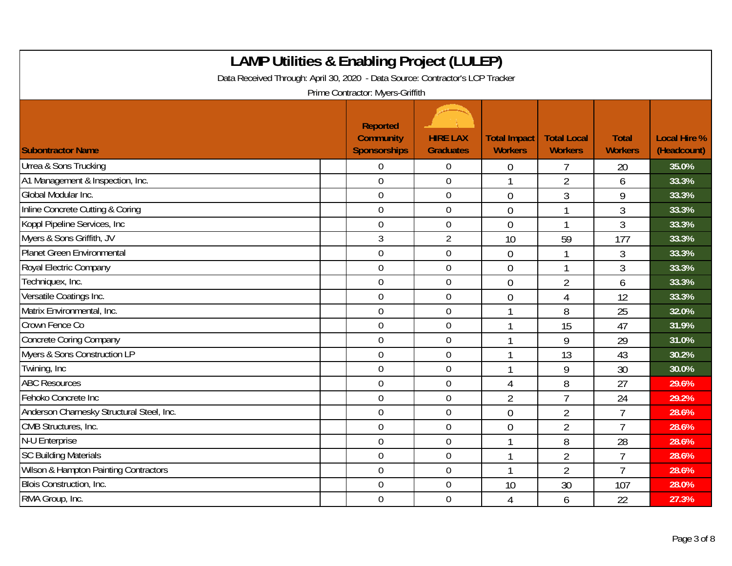| <b>LAMP Utilities &amp; Enabling Project (LULEP)</b><br>Data Received Through: April 30, 2020 - Data Source: Contractor's LCP Tracker<br>Prime Contractor: Myers-Griffith |                                                            |                                     |                                       |                                      |                                |                                    |  |  |  |
|---------------------------------------------------------------------------------------------------------------------------------------------------------------------------|------------------------------------------------------------|-------------------------------------|---------------------------------------|--------------------------------------|--------------------------------|------------------------------------|--|--|--|
| <b>Subontractor Name</b>                                                                                                                                                  | <b>Reported</b><br><b>Community</b><br><b>Sponsorships</b> | <b>HIRE LAX</b><br><b>Graduates</b> | <b>Total Impact</b><br><b>Workers</b> | <b>Total Local</b><br><b>Workers</b> | <b>Total</b><br><b>Workers</b> | <b>Local Hire %</b><br>(Headcount) |  |  |  |
| Urrea & Sons Trucking                                                                                                                                                     | $\Omega$                                                   | $\boldsymbol{0}$                    | 0                                     | 7                                    | 20                             | 35.0%                              |  |  |  |
| A1 Management & Inspection, Inc.                                                                                                                                          | $\overline{0}$                                             | $\overline{0}$                      |                                       | $\overline{2}$                       | 6                              | 33.3%                              |  |  |  |
| Global Modular Inc.                                                                                                                                                       | $\overline{0}$                                             | $\boldsymbol{0}$                    | $\mathbf 0$                           | 3                                    | 9                              | 33.3%                              |  |  |  |
| Inline Concrete Cutting & Coring                                                                                                                                          | $\mathbf 0$                                                | $\mathbf 0$                         | $\overline{0}$                        | $\mathbf{1}$                         | 3                              | 33.3%                              |  |  |  |
| Koppl Pipeline Services, Inc.                                                                                                                                             | $\overline{0}$                                             | $\overline{0}$                      | $\overline{0}$                        | $\mathbf{1}$                         | 3                              | 33.3%                              |  |  |  |
| Myers & Sons Griffith, JV                                                                                                                                                 | 3                                                          | $\overline{2}$                      | 10                                    | 59                                   | 177                            | 33.3%                              |  |  |  |
| Planet Green Environmental                                                                                                                                                | $\overline{0}$                                             | $\mathbf 0$                         | $\overline{0}$                        | $\mathbf 1$                          | 3                              | 33.3%                              |  |  |  |
| Royal Electric Company                                                                                                                                                    | $\overline{0}$                                             | $\mathbf 0$                         | $\mathbf 0$                           | 1                                    | 3                              | 33.3%                              |  |  |  |
| Techniquex, Inc.                                                                                                                                                          | $\overline{0}$                                             | $\boldsymbol{0}$                    | $\overline{0}$                        | $\overline{2}$                       | 6                              | 33.3%                              |  |  |  |
| Versatile Coatings Inc.                                                                                                                                                   | $\mathbf 0$                                                | $\mathbf 0$                         | $\overline{0}$                        | $\overline{4}$                       | 12                             | 33.3%                              |  |  |  |
| Matrix Environmental, Inc.                                                                                                                                                | $\overline{0}$                                             | $\mathbf 0$                         |                                       | 8                                    | 25                             | 32.0%                              |  |  |  |
| Crown Fence Co                                                                                                                                                            | $\overline{0}$                                             | $\mathbf 0$                         |                                       | 15                                   | 47                             | 31.9%                              |  |  |  |
| Concrete Coring Company                                                                                                                                                   | $\overline{0}$                                             | $\mathbf 0$                         |                                       | 9                                    | 29                             | 31.0%                              |  |  |  |
| Myers & Sons Construction LP                                                                                                                                              | $\mathbf 0$                                                | 0                                   |                                       | 13                                   | 43                             | 30.2%                              |  |  |  |
| Twining, Inc.                                                                                                                                                             | $\mathbf 0$                                                | $\boldsymbol{0}$                    |                                       | 9                                    | 30                             | 30.0%                              |  |  |  |
| <b>ABC Resources</b>                                                                                                                                                      | $\overline{0}$                                             | $\boldsymbol{0}$                    | 4                                     | 8                                    | 27                             | 29.6%                              |  |  |  |
| Fehoko Concrete Inc                                                                                                                                                       | $\mathbf 0$                                                | 0                                   | $\overline{2}$                        | $\overline{7}$                       | 24                             | 29.2%                              |  |  |  |
| Anderson Charnesky Structural Steel, Inc.                                                                                                                                 | $\mathbf 0$                                                | $\mathbf 0$                         | $\overline{0}$                        | $\overline{2}$                       | $\overline{7}$                 | 28.6%                              |  |  |  |
| CMB Structures, Inc.                                                                                                                                                      | $\overline{0}$                                             | $\overline{0}$                      | $\mathbf 0$                           | $\overline{2}$                       | $\overline{7}$                 | 28.6%                              |  |  |  |
| N-U Enterprise                                                                                                                                                            | $\mathbf 0$                                                | $\mathbf 0$                         |                                       | 8                                    | 28                             | 28.6%                              |  |  |  |
| <b>SC Building Materials</b>                                                                                                                                              | $\mathbf 0$                                                | $\boldsymbol{0}$                    |                                       | $\overline{2}$                       | $\overline{1}$                 | 28.6%                              |  |  |  |
| Wilson & Hampton Painting Contractors                                                                                                                                     | $\mathbf 0$                                                | $\boldsymbol{0}$                    |                                       | $\overline{2}$                       | $\overline{7}$                 | 28.6%                              |  |  |  |
| Blois Construction, Inc.                                                                                                                                                  | 0                                                          | $\boldsymbol{0}$                    | 10                                    | 30                                   | 107                            | 28.0%                              |  |  |  |
| RMA Group, Inc.                                                                                                                                                           | $\overline{0}$                                             | $\mathbf 0$                         | 4                                     | 6                                    | 22                             | 27.3%                              |  |  |  |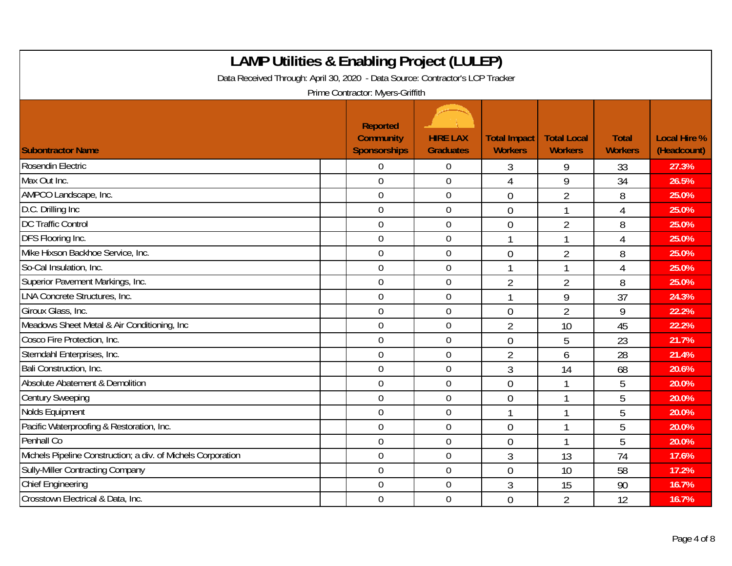| <b>LAMP Utilities &amp; Enabling Project (LULEP)</b><br>Data Received Through: April 30, 2020 - Data Source: Contractor's LCP Tracker<br>Prime Contractor: Myers-Griffith |                                                     |                                     |                                       |                                      |                                |                                    |  |  |  |
|---------------------------------------------------------------------------------------------------------------------------------------------------------------------------|-----------------------------------------------------|-------------------------------------|---------------------------------------|--------------------------------------|--------------------------------|------------------------------------|--|--|--|
| <b>Subontractor Name</b>                                                                                                                                                  | Reported<br><b>Community</b><br><b>Sponsorships</b> | <b>HIRE LAX</b><br><b>Graduates</b> | <b>Total Impact</b><br><b>Workers</b> | <b>Total Local</b><br><b>Workers</b> | <b>Total</b><br><b>Workers</b> | <b>Local Hire %</b><br>(Headcount) |  |  |  |
| Rosendin Electric                                                                                                                                                         | $\Omega$                                            | $\overline{0}$                      | 3                                     | 9                                    | 33                             | 27.3%                              |  |  |  |
| Max Out Inc.                                                                                                                                                              | $\overline{0}$                                      | $\mathbf 0$                         | 4                                     | 9                                    | 34                             | 26.5%                              |  |  |  |
| AMPCO Landscape, Inc.                                                                                                                                                     | $\mathbf 0$                                         | $\boldsymbol{0}$                    | $\overline{0}$                        | $\overline{2}$                       | 8                              | 25.0%                              |  |  |  |
| D.C. Drilling Inc                                                                                                                                                         | $\overline{0}$                                      | $\boldsymbol{0}$                    | $\overline{0}$                        | $\mathbf{1}$                         | 4                              | 25.0%                              |  |  |  |
| <b>DC Traffic Control</b>                                                                                                                                                 | $\overline{0}$                                      | $\mathbf 0$                         | $\overline{0}$                        | $\overline{2}$                       | 8                              | 25.0%                              |  |  |  |
| DFS Flooring Inc.                                                                                                                                                         | $\mathbf 0$                                         | $\overline{0}$                      |                                       |                                      | 4                              | 25.0%                              |  |  |  |
| Mike Hixson Backhoe Service, Inc.                                                                                                                                         | $\overline{0}$                                      | $\overline{0}$                      | $\overline{0}$                        | $\overline{2}$                       | 8                              | 25.0%                              |  |  |  |
| So-Cal Insulation, Inc.                                                                                                                                                   | $\mathbf 0$                                         | $\mathbf 0$                         | $\mathbf{1}$                          | 1                                    | 4                              | 25.0%                              |  |  |  |
| Superior Pavement Markings, Inc.                                                                                                                                          | $\mathbf 0$                                         | $\pmb{0}$                           | $\overline{2}$                        | $\overline{2}$                       | 8                              | 25.0%                              |  |  |  |
| <b>LNA Concrete Structures, Inc.</b>                                                                                                                                      | $\mathbf 0$                                         | $\overline{0}$                      | $\mathbf{1}$                          | 9                                    | 37                             | 24.3%                              |  |  |  |
| Giroux Glass, Inc.                                                                                                                                                        | $\mathbf 0$                                         | $\mathbf 0$                         | $\overline{0}$                        | $\overline{2}$                       | 9                              | 22.2%                              |  |  |  |
| Meadows Sheet Metal & Air Conditioning, Inc                                                                                                                               | $\theta$                                            | $\overline{0}$                      | $\overline{2}$                        | 10                                   | 45                             | 22.2%                              |  |  |  |
| Cosco Fire Protection, Inc.                                                                                                                                               | $\mathbf 0$                                         | $\overline{0}$                      | $\overline{0}$                        | 5                                    | 23                             | 21.7%                              |  |  |  |
| Sterndahl Enterprises, Inc.                                                                                                                                               | $\overline{0}$                                      | $\boldsymbol{0}$                    | $\overline{2}$                        | 6                                    | 28                             | 21.4%                              |  |  |  |
| Bali Construction, Inc.                                                                                                                                                   | $\mathbf 0$                                         | $\boldsymbol{0}$                    | $\mathfrak{Z}$                        | 14                                   | 68                             | 20.6%                              |  |  |  |
| Absolute Abatement & Demolition                                                                                                                                           | $\mathbf 0$                                         | $\mathbf 0$                         | $\overline{0}$                        | 1                                    | 5                              | 20.0%                              |  |  |  |
| <b>Century Sweeping</b>                                                                                                                                                   | $\overline{0}$                                      | $\overline{0}$                      | $\overline{0}$                        |                                      | 5                              | 20.0%                              |  |  |  |
| Nolds Equipment                                                                                                                                                           | $\mathbf 0$                                         | $\mathbf 0$                         |                                       |                                      | 5                              | 20.0%                              |  |  |  |
| Pacific Waterproofing & Restoration, Inc.                                                                                                                                 | $\mathbf 0$                                         | $\mathbf 0$                         | $\overline{0}$                        |                                      | 5                              | 20.0%                              |  |  |  |
| Penhall Co                                                                                                                                                                | $\overline{0}$                                      | $\mathbf 0$                         | $\overline{0}$                        |                                      | 5                              | 20.0%                              |  |  |  |
| Michels Pipeline Construction; a div. of Michels Corporation                                                                                                              | $\mathbf 0$                                         | $\boldsymbol{0}$                    | 3                                     | 13                                   | 74                             | 17.6%                              |  |  |  |
| Sully-Miller Contracting Company                                                                                                                                          | $\mathbf 0$                                         | $\mathbf 0$                         | $\overline{0}$                        | 10                                   | 58                             | 17.2%                              |  |  |  |
| <b>Chief Engineering</b>                                                                                                                                                  | $\overline{0}$                                      | $\mathbf 0$                         | 3                                     | 15                                   | 90                             | 16.7%                              |  |  |  |
| Crosstown Electrical & Data, Inc.                                                                                                                                         | $\mathbf 0$                                         | $\mathbf 0$                         | $\overline{0}$                        | $\overline{2}$                       | 12                             | 16.7%                              |  |  |  |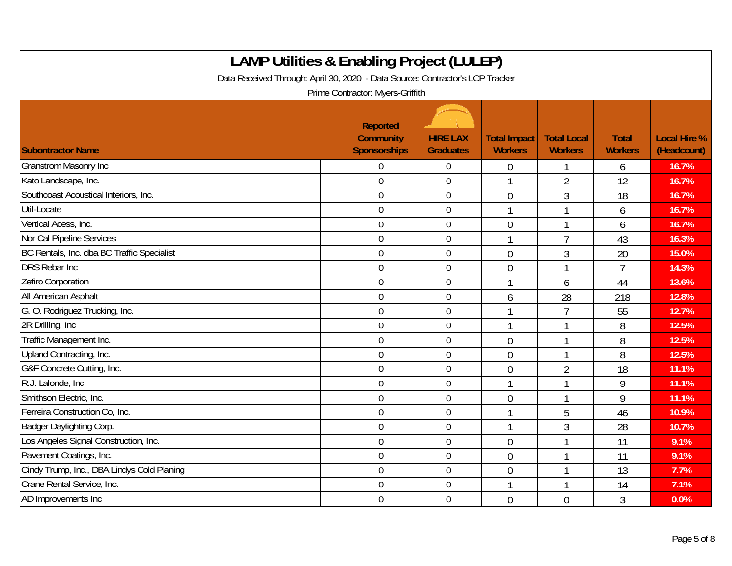| <b>LAMP Utilities &amp; Enabling Project (LULEP)</b><br>Data Received Through: April 30, 2020 - Data Source: Contractor's LCP Tracker<br>Prime Contractor: Myers-Griffith |                                                     |                                     |                                       |                                      |                                |                                    |  |  |  |
|---------------------------------------------------------------------------------------------------------------------------------------------------------------------------|-----------------------------------------------------|-------------------------------------|---------------------------------------|--------------------------------------|--------------------------------|------------------------------------|--|--|--|
| <b>Subontractor Name</b>                                                                                                                                                  | Reported<br><b>Community</b><br><b>Sponsorships</b> | <b>HIRE LAX</b><br><b>Graduates</b> | <b>Total Impact</b><br><b>Workers</b> | <b>Total Local</b><br><b>Workers</b> | <b>Total</b><br><b>Workers</b> | <b>Local Hire %</b><br>(Headcount) |  |  |  |
| <b>Granstrom Masonry Inc</b>                                                                                                                                              | $\Omega$                                            | $\mathbf 0$                         | 0                                     |                                      | 6                              | 16.7%                              |  |  |  |
| Kato Landscape, Inc.                                                                                                                                                      | $\overline{0}$                                      | 0                                   |                                       | $\overline{2}$                       | 12                             | 16.7%                              |  |  |  |
| Southcoast Acoustical Interiors, Inc.                                                                                                                                     | $\overline{0}$                                      | $\boldsymbol{0}$                    | $\overline{0}$                        | 3                                    | 18                             | 16.7%                              |  |  |  |
| Util-Locate                                                                                                                                                               | $\mathbf 0$                                         | $\boldsymbol{0}$                    |                                       | $\mathbf{1}$                         | 6                              | 16.7%                              |  |  |  |
| Vertical Acess, Inc.                                                                                                                                                      | $\overline{0}$                                      | 0                                   | $\overline{0}$                        | $\mathbf{1}$                         | 6                              | 16.7%                              |  |  |  |
| Nor Cal Pipeline Services                                                                                                                                                 | $\overline{0}$                                      | $\mathbf 0$                         |                                       | $\overline{7}$                       | 43                             | 16.3%                              |  |  |  |
| BC Rentals, Inc. dba BC Traffic Specialist                                                                                                                                | $\mathbf 0$                                         | $\mathbf 0$                         | $\overline{0}$                        | 3                                    | 20                             | 15.0%                              |  |  |  |
| <b>DRS Rebar Inc</b>                                                                                                                                                      | $\overline{0}$                                      | 0                                   | $\overline{0}$                        | 1                                    | $\overline{1}$                 | 14.3%                              |  |  |  |
| Zefiro Corporation                                                                                                                                                        | $\mathbf 0$                                         | $\mathbf 0$                         |                                       | 6                                    | 44                             | 13.6%                              |  |  |  |
| All American Asphalt                                                                                                                                                      | $\mathbf 0$                                         | $\mathbf 0$                         | 6                                     | 28                                   | 218                            | 12.8%                              |  |  |  |
| G. O. Rodriguez Trucking, Inc.                                                                                                                                            | $\overline{0}$                                      | $\mathbf 0$                         |                                       | $\overline{7}$                       | 55                             | 12.7%                              |  |  |  |
| 2R Drilling, Inc.                                                                                                                                                         | $\overline{0}$                                      | $\boldsymbol{0}$                    |                                       | 1                                    | 8                              | 12.5%                              |  |  |  |
| Traffic Management Inc.                                                                                                                                                   | $\mathbf 0$                                         | $\mathbf 0$                         | $\overline{0}$                        |                                      | 8                              | 12.5%                              |  |  |  |
| Upland Contracting, Inc.                                                                                                                                                  | $\overline{0}$                                      | 0                                   | $\overline{0}$                        | 1                                    | 8                              | 12.5%                              |  |  |  |
| G&F Concrete Cutting, Inc.                                                                                                                                                | $\mathbf 0$                                         | $\mathbf 0$                         | $\theta$                              | $\overline{2}$                       | 18                             | 11.1%                              |  |  |  |
| R.J. Lalonde, Inc.                                                                                                                                                        | $\boldsymbol{0}$                                    | $\boldsymbol{0}$                    |                                       | 1                                    | 9                              | 11.1%                              |  |  |  |
| Smithson Electric, Inc.                                                                                                                                                   | $\overline{0}$                                      | 0                                   | $\overline{0}$                        | 1                                    | 9                              | 11.1%                              |  |  |  |
| Ferreira Construction Co, Inc.                                                                                                                                            | $\overline{0}$                                      | $\mathbf 0$                         |                                       | 5                                    | 46                             | 10.9%                              |  |  |  |
| Badger Daylighting Corp.                                                                                                                                                  | $\mathbf 0$                                         | $\mathbf 0$                         |                                       | 3                                    | 28                             | 10.7%                              |  |  |  |
| Los Angeles Signal Construction, Inc.                                                                                                                                     | $\mathbf 0$                                         | 0                                   | $\overline{0}$                        | 1                                    | 11                             | 9.1%                               |  |  |  |
| Pavement Coatings, Inc.                                                                                                                                                   | $\overline{0}$                                      | $\mathbf 0$                         | $\theta$                              |                                      | 11                             | 9.1%                               |  |  |  |
| Cindy Trump, Inc., DBA Lindys Cold Planing                                                                                                                                | $\boldsymbol{0}$                                    | $\boldsymbol{0}$                    | $\mathbf 0$                           | 1                                    | 13                             | 7.7%                               |  |  |  |
| Crane Rental Service, Inc.                                                                                                                                                | $\overline{0}$                                      | $\mathbf 0$                         |                                       | 1                                    | 14                             | 7.1%                               |  |  |  |
| AD Improvements Inc                                                                                                                                                       | $\overline{0}$                                      | $\boldsymbol{0}$                    | $\overline{0}$                        | $\overline{0}$                       | $\overline{3}$                 | 0.0%                               |  |  |  |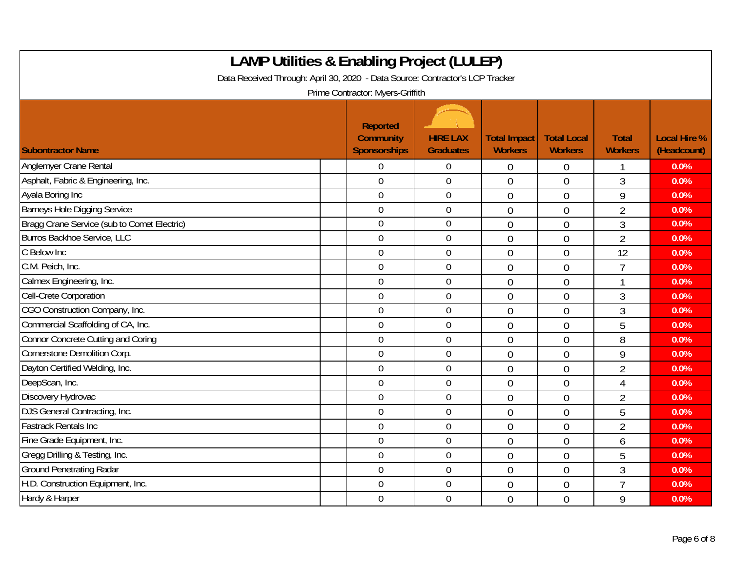| <b>LAMP Utilities &amp; Enabling Project (LULEP)</b><br>Data Received Through: April 30, 2020 - Data Source: Contractor's LCP Tracker<br>Prime Contractor: Myers-Griffith |                                                            |                                     |                                       |                                      |                                |                                    |  |  |  |
|---------------------------------------------------------------------------------------------------------------------------------------------------------------------------|------------------------------------------------------------|-------------------------------------|---------------------------------------|--------------------------------------|--------------------------------|------------------------------------|--|--|--|
| <b>Subontractor Name</b>                                                                                                                                                  | <b>Reported</b><br><b>Community</b><br><b>Sponsorships</b> | <b>HIRE LAX</b><br><b>Graduates</b> | <b>Total Impact</b><br><b>Workers</b> | <b>Total Local</b><br><b>Workers</b> | <b>Total</b><br><b>Workers</b> | <b>Local Hire %</b><br>(Headcount) |  |  |  |
| Anglemyer Crane Rental                                                                                                                                                    | $\overline{0}$                                             | $\mathbf 0$                         | $\overline{0}$                        | 0                                    |                                | 0.0%                               |  |  |  |
| Asphalt, Fabric & Engineering, Inc.                                                                                                                                       | $\mathbf 0$                                                | $\mathbf 0$                         | $\overline{0}$                        | $\overline{0}$                       | 3                              | 0.0%                               |  |  |  |
| Ayala Boring Inc                                                                                                                                                          | $\mathbf 0$                                                | $\boldsymbol{0}$                    | $\overline{0}$                        | $\overline{0}$                       | 9                              | 0.0%                               |  |  |  |
| <b>Barneys Hole Digging Service</b>                                                                                                                                       | $\boldsymbol{0}$                                           | $\boldsymbol{0}$                    | $\overline{0}$                        | $\mathbf 0$                          | $\overline{2}$                 | 0.0%                               |  |  |  |
| Bragg Crane Service (sub to Comet Electric)                                                                                                                               | $\overline{0}$                                             | $\overline{0}$                      | $\overline{0}$                        | $\overline{0}$                       | 3                              | 0.0%                               |  |  |  |
| Burros Backhoe Service, LLC                                                                                                                                               | $\mathbf 0$                                                | $\mathbf 0$                         | $\overline{0}$                        | $\overline{0}$                       | $\overline{2}$                 | 0.0%                               |  |  |  |
| C Below Inc                                                                                                                                                               | $\mathbf 0$                                                | $\overline{0}$                      | $\overline{0}$                        | $\overline{0}$                       | 12                             | 0.0%                               |  |  |  |
| C.M. Peich, Inc.                                                                                                                                                          | $\mathbf 0$                                                | $\mathbf 0$                         | $\overline{0}$                        | $\overline{0}$                       | 7                              | 0.0%                               |  |  |  |
| Calmex Engineering, Inc.                                                                                                                                                  | $\mathbf 0$                                                | $\mathbf 0$                         | $\overline{0}$                        | $\mathbf 0$                          |                                | 0.0%                               |  |  |  |
| Cell-Crete Corporation                                                                                                                                                    | $\boldsymbol{0}$                                           | $\boldsymbol{0}$                    | $\overline{0}$                        | $\mathbf 0$                          | 3                              | 0.0%                               |  |  |  |
| CGO Construction Company, Inc.                                                                                                                                            | $\overline{0}$                                             | $\mathbf 0$                         | $\overline{0}$                        | $\overline{0}$                       | $\overline{3}$                 | 0.0%                               |  |  |  |
| Commercial Scaffolding of CA, Inc.                                                                                                                                        | $\overline{0}$                                             | $\overline{0}$                      | $\overline{0}$                        | $\overline{0}$                       | 5                              | 0.0%                               |  |  |  |
| Connor Concrete Cutting and Coring                                                                                                                                        | $\mathbf 0$                                                | $\overline{0}$                      | $\overline{0}$                        | $\overline{0}$                       | 8                              | 0.0%                               |  |  |  |
| Cornerstone Demolition Corp.                                                                                                                                              | $\overline{0}$                                             | $\mathbf 0$                         | $\overline{0}$                        | $\overline{0}$                       | 9                              | 0.0%                               |  |  |  |
| Dayton Certified Welding, Inc.                                                                                                                                            | $\mathbf 0$                                                | $\boldsymbol{0}$                    | $\overline{0}$                        | $\overline{0}$                       | $\overline{2}$                 | 0.0%                               |  |  |  |
| DeepScan, Inc.                                                                                                                                                            | $\mathbf 0$                                                | $\mathbf 0$                         | $\overline{0}$                        | $\overline{0}$                       | 4                              | 0.0%                               |  |  |  |
| Discovery Hydrovac                                                                                                                                                        | $\overline{0}$                                             | $\mathbf 0$                         | $\overline{0}$                        | $\overline{0}$                       | $\overline{2}$                 | 0.0%                               |  |  |  |
| DJS General Contracting, Inc.                                                                                                                                             | $\overline{0}$                                             | $\mathbf 0$                         | $\overline{0}$                        | $\overline{0}$                       | 5                              | 0.0%                               |  |  |  |
| <b>Fastrack Rentals Inc</b>                                                                                                                                               | $\mathbf 0$                                                | $\mathbf 0$                         | $\overline{0}$                        | $\overline{0}$                       | $\overline{2}$                 | 0.0%                               |  |  |  |
| Fine Grade Equipment, Inc.                                                                                                                                                | $\mathbf 0$                                                | $\mathbf 0$                         | $\overline{0}$                        | $\overline{0}$                       | 6                              | 0.0%                               |  |  |  |
| Gregg Drilling & Testing, Inc.                                                                                                                                            | $\mathbf 0$                                                | $\mathbf 0$                         | $\overline{0}$                        | $\overline{0}$                       | 5                              | 0.0%                               |  |  |  |
| <b>Ground Penetrating Radar</b>                                                                                                                                           | $\overline{0}$                                             | $\mathbf 0$                         | $\overline{0}$                        | $\overline{0}$                       | 3                              | 0.0%                               |  |  |  |
| H.D. Construction Equipment, Inc.                                                                                                                                         | $\overline{0}$                                             | $\mathbf 0$                         | $\overline{0}$                        | $\theta$                             | $\overline{7}$                 | 0.0%                               |  |  |  |
| Hardy & Harper                                                                                                                                                            | $\mathbf 0$                                                | $\mathbf 0$                         | $\overline{0}$                        | $\overline{0}$                       | 9                              | 0.0%                               |  |  |  |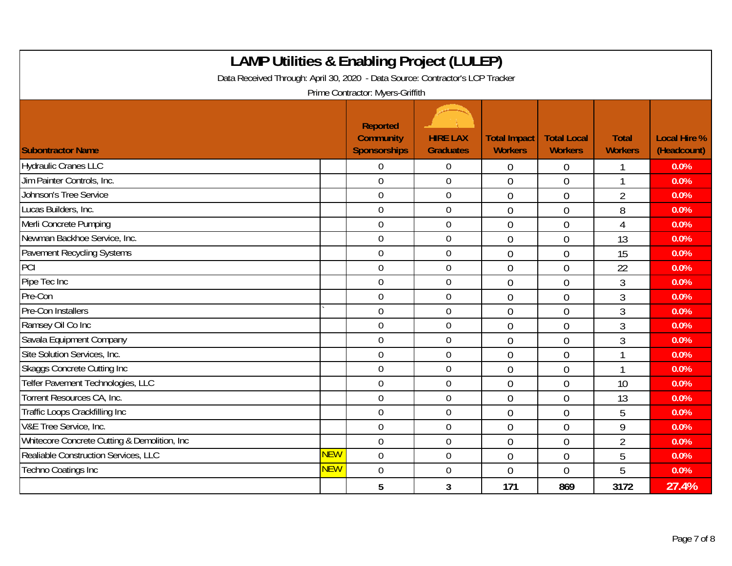| <b>LAMP Utilities &amp; Enabling Project (LULEP)</b><br>Data Received Through: April 30, 2020 - Data Source: Contractor's LCP Tracker<br>Prime Contractor: Myers-Griffith |            |                                              |                                     |                                       |                                      |                                |                                    |  |  |
|---------------------------------------------------------------------------------------------------------------------------------------------------------------------------|------------|----------------------------------------------|-------------------------------------|---------------------------------------|--------------------------------------|--------------------------------|------------------------------------|--|--|
| <b>Subontractor Name</b>                                                                                                                                                  |            | Reported<br>Community<br><b>Sponsorships</b> | <b>HIRE LAX</b><br><b>Graduates</b> | <b>Total Impact</b><br><b>Workers</b> | <b>Total Local</b><br><b>Workers</b> | <b>Total</b><br><b>Workers</b> | <b>Local Hire %</b><br>(Headcount) |  |  |
| <b>Hydraulic Cranes LLC</b>                                                                                                                                               |            | $\overline{0}$                               | $\overline{0}$                      | $\mathbf 0$                           | $\overline{0}$                       | 1                              | 0.0%                               |  |  |
| Jim Painter Controls, Inc.                                                                                                                                                |            | $\overline{0}$                               | $\mathbf 0$                         | $\theta$                              | $\overline{0}$                       | 1                              | 0.0%                               |  |  |
| Johnson's Tree Service                                                                                                                                                    |            | $\overline{0}$                               | $\mathbf 0$                         | $\overline{0}$                        | $\overline{0}$                       | $\overline{2}$                 | 0.0%                               |  |  |
| Lucas Builders, Inc.                                                                                                                                                      |            | $\overline{0}$                               | $\mathbf 0$                         | $\overline{0}$                        | $\Omega$                             | 8                              | 0.0%                               |  |  |
| Merli Concrete Pumping                                                                                                                                                    |            | $\mathbf 0$                                  | $\mathbf 0$                         | $\overline{0}$                        | $\overline{0}$                       | 4                              | 0.0%                               |  |  |
| Newman Backhoe Service, Inc.                                                                                                                                              |            | $\mathbf 0$                                  | $\boldsymbol{0}$                    | $\mathbf{0}$                          | $\overline{0}$                       | 13                             | 0.0%                               |  |  |
| Pavement Recycling Systems                                                                                                                                                |            | $\mathbf 0$                                  | $\mathbf 0$                         | $\theta$                              | $\overline{0}$                       | 15                             | 0.0%                               |  |  |
| PCI                                                                                                                                                                       |            | $\overline{0}$                               | $\mathbf 0$                         | $\theta$                              | $\overline{0}$                       | 22                             | 0.0%                               |  |  |
| Pipe Tec Inc                                                                                                                                                              |            | $\mathbf 0$                                  | $\mathbf 0$                         | $\overline{0}$                        | $\overline{0}$                       | 3                              | 0.0%                               |  |  |
| Pre-Con                                                                                                                                                                   |            | $\mathbf 0$                                  | $\mathbf 0$                         | $\overline{0}$                        | $\overline{0}$                       | 3                              | 0.0%                               |  |  |
| Pre-Con Installers                                                                                                                                                        |            | $\overline{0}$                               | $\boldsymbol{0}$                    | $\overline{0}$                        | $\overline{0}$                       | 3                              | 0.0%                               |  |  |
| Ramsey Oil Co Inc                                                                                                                                                         |            | $\overline{0}$                               | $\boldsymbol{0}$                    | $\overline{0}$                        | $\overline{0}$                       | 3                              | 0.0%                               |  |  |
| Savala Equipment Company                                                                                                                                                  |            | $\overline{0}$                               | $\mathbf 0$                         | $\overline{0}$                        | $\overline{0}$                       | 3                              | 0.0%                               |  |  |
| Site Solution Services, Inc.                                                                                                                                              |            | $\overline{0}$                               | $\mathbf 0$                         | $\theta$                              | $\theta$                             | 1                              | 0.0%                               |  |  |
| Skaggs Concrete Cutting Inc                                                                                                                                               |            | $\overline{0}$                               | $\mathbf 0$                         | $\theta$                              | $\overline{0}$                       | 1                              | 0.0%                               |  |  |
| Telfer Pavement Technologies, LLC                                                                                                                                         |            | $\mathbf 0$                                  | $\boldsymbol{0}$                    | $\overline{0}$                        | $\overline{0}$                       | 10                             | 0.0%                               |  |  |
| Torrent Resources CA, Inc.                                                                                                                                                |            | $\overline{0}$                               | $\mathbf 0$                         | $\overline{0}$                        | $\overline{0}$                       | 13                             | 0.0%                               |  |  |
| Traffic Loops Crackfilling Inc                                                                                                                                            |            | $\overline{0}$                               | $\overline{0}$                      | $\overline{0}$                        | $\overline{0}$                       | 5                              | 0.0%                               |  |  |
| V&E Tree Service, Inc.                                                                                                                                                    |            | $\overline{0}$                               | $\mathbf 0$                         | $\Omega$                              | $\Omega$                             | 9                              | 0.0%                               |  |  |
| Whitecore Concrete Cutting & Demolition, Inc.                                                                                                                             |            | $\mathbf 0$                                  | $\mathbf 0$                         | $\overline{0}$                        | $\overline{0}$                       | $\overline{2}$                 | 0.0%                               |  |  |
| Realiable Construction Services, LLC                                                                                                                                      | <b>NEW</b> | $\mathbf 0$                                  | $\boldsymbol{0}$                    | $\overline{0}$                        | $\overline{0}$                       | 5                              | 0.0%                               |  |  |
| <b>Techno Coatings Inc</b>                                                                                                                                                | <b>NEW</b> | $\overline{0}$                               | $\mathbf 0$                         | $\overline{0}$                        | $\overline{0}$                       | 5                              | 0.0%                               |  |  |
|                                                                                                                                                                           |            | 5                                            | 3                                   | 171                                   | 869                                  | 3172                           | 27.4%                              |  |  |